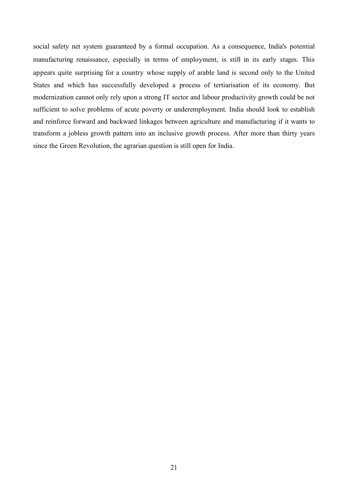social safety net system guaranteed by a formal occupation. As a consequence, India's potential manufacturing renaissance, especially in terms of employment, is still in its early stages. This appears quite surprising for a country whose supply of arable land is second only to the United States and which has successfully developed a process of tertiarisation of its economy. But modernization cannot only rely upon a strong IT sector and labour productivity growth could be not sufficient to solve problems of acute poverty or underemployment. India should look to establish and reinforce forward and backward linkages between agriculture and manufacturing if it wants to transform a jobless growth pattern into an inclusive growth process. After more than thirty years since the Green Revolution, the agrarian question is still open for India.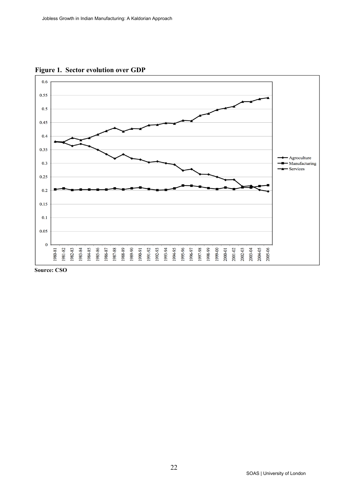**Figure 1. Sector evolution over GDP**



 **Source: CSO**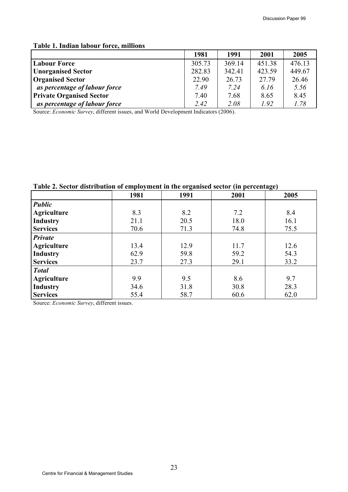### **Table 1. Indian labour force, millions**

|                                 | 1981   | 1991   | 2001   | 2005   |
|---------------------------------|--------|--------|--------|--------|
| <b>Labour Force</b>             | 305.73 | 369.14 | 451.38 | 476.13 |
| <b>Unorganised Sector</b>       | 282.83 | 342.41 | 423.59 | 449.67 |
| <b>Organised Sector</b>         | 22.90  | 26.73  | 27.79  | 26.46  |
| as percentage of labour force   | 7.49   | 7.24   | 6.16   | 5.56   |
| <b>Private Organised Sector</b> | 7.40   | 7.68   | 8.65   | 8.45   |
| as percentage of labour force   | 2.42   | 2.08   | 1.92   | 1.78   |

Source: *Economic Survey*, different issues, and World Development Indicators (2006).

**Table 2. Sector distribution of employment in the organised sector (in percentage)**

|                    | 1981 | 1991 | 2001 | 2005 |
|--------------------|------|------|------|------|
| <b>Public</b>      |      |      |      |      |
| <b>Agriculture</b> | 8.3  | 8.2  | 7.2  | 8.4  |
| <b>Industry</b>    | 21.1 | 20.5 | 18.0 | 16.1 |
| <b>Services</b>    | 70.6 | 71.3 | 74.8 | 75.5 |
| Private            |      |      |      |      |
| <b>Agriculture</b> | 13.4 | 12.9 | 11.7 | 12.6 |
| Industry           | 62.9 | 59.8 | 59.2 | 54.3 |
| <b>Services</b>    | 23.7 | 27.3 | 29.1 | 33.2 |
| <b>Total</b>       |      |      |      |      |
| <b>Agriculture</b> | 9.9  | 9.5  | 8.6  | 9.7  |
| <b>Industry</b>    | 34.6 | 31.8 | 30.8 | 28.3 |
| <b>Services</b>    | 55.4 | 58.7 | 60.6 | 62.0 |

Source: *Economic Survey*, different issues.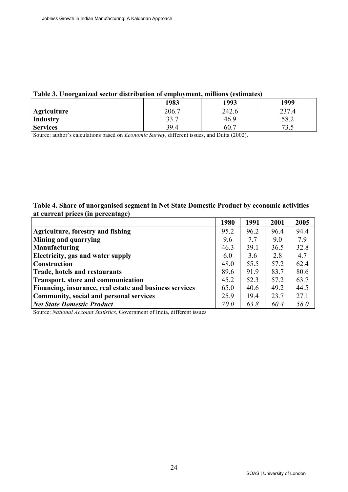#### **Table 3. Unorganized sector distribution of employment, millions (estimates)**

|                    | 1983  | 1993  | 1999       |
|--------------------|-------|-------|------------|
| <b>Agriculture</b> | 206.7 | 242.6 | 237.4      |
| Industry           | 33.7  | 46.9  | 58.2       |
| <b>Services</b>    | 39.4  | 60.7  | רד<br>ن. ر |

Source: author's calculations based on *Economic Survey*, different issues, and Dutta (2002).

#### **Table 4. Share of unorganised segment in Net State Domestic Product by economic activities at current prices (in percentage)**

|                                                         | 1980        | 1991 | 2001 | 2005 |
|---------------------------------------------------------|-------------|------|------|------|
| Agriculture, forestry and fishing                       | 95.2        | 96.2 | 96.4 | 94.4 |
| <b>Mining and quarrying</b>                             | 9.6         | 7.7  | 9.0  | 7.9  |
| Manufacturing                                           | 46.3        | 39.1 | 36.5 | 32.8 |
| <b>Electricity, gas and water supply</b>                | 6.0         | 3.6  | 2.8  | 4.7  |
| <b>Construction</b>                                     | 48.0        | 55.5 | 57.2 | 62.4 |
| Trade, hotels and restaurants                           | 89.6        | 91.9 | 83.7 | 80.6 |
| Transport, store and communication                      | 45.2        | 52.3 | 57.2 | 63.7 |
| Financing, insurance, real estate and business services | 65.0        | 40.6 | 49.2 | 44.5 |
| Community, social and personal services                 | 25.9        | 19.4 | 23.7 | 27.1 |
| <b>Net State Domestic Product</b>                       | <i>70.0</i> | 63.8 | 60.4 | 58.0 |

Source: *National Account Statistics*, Government of India, different issues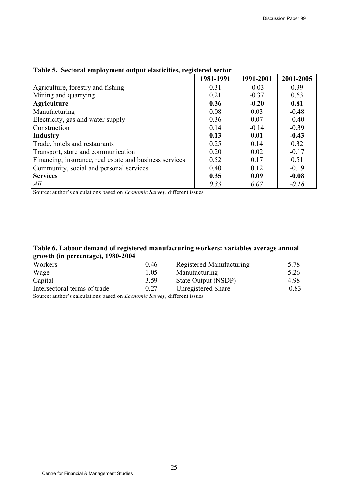|                                                         | 1981-1991 | 1991-2001 | 2001-2005 |
|---------------------------------------------------------|-----------|-----------|-----------|
| Agriculture, forestry and fishing                       | 0.31      | $-0.03$   | 0.39      |
| Mining and quarrying                                    | 0.21      | $-0.37$   | 0.63      |
| Agriculture                                             | 0.36      | $-0.20$   | 0.81      |
| Manufacturing                                           | 0.08      | 0.03      | $-0.48$   |
| Electricity, gas and water supply                       | 0.36      | 0.07      | $-0.40$   |
| Construction                                            | 0.14      | $-0.14$   | $-0.39$   |
| <b>Industry</b>                                         | 0.13      | 0.01      | $-0.43$   |
| Trade, hotels and restaurants                           | 0.25      | 0.14      | 0.32      |
| Transport, store and communication                      | 0.20      | 0.02      | $-0.17$   |
| Financing, insurance, real estate and business services | 0.52      | 0.17      | 0.51      |
| Community, social and personal services                 | 0.40      | 0.12      | $-0.19$   |
| <b>Services</b>                                         | 0.35      | 0.09      | $-0.08$   |
| All                                                     | 0.33      | 0.07      | $-0.18$   |

# **Table 5. Sectoral employment output elasticities, registered sector**

Source: author's calculations based on *Economic Survey*, different issues

#### **Table 6. Labour demand of registered manufacturing workers: variables average annual growth (in percentage), 1980-2004**

| $\sim$                       |      |                                 |         |
|------------------------------|------|---------------------------------|---------|
| <b>Workers</b>               | 0.46 | <b>Registered Manufacturing</b> | 5.78    |
| Wage                         | 1.05 | Manufacturing                   | 5.26    |
| Capital                      | 3.59 | State Output (NSDP)             | 4.98    |
| Intersectoral terms of trade | 0.27 | Unregistered Share              | $-0.83$ |

Source: author's calculations based on *Economic Survey*, different issues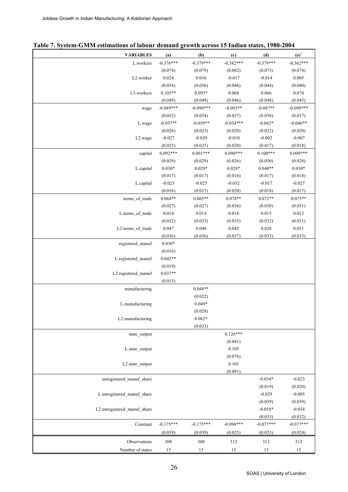| Table 7. System-GMM estimations of labour demand growth across 15 Indian states, 1980-2004 |  |  |  |  |  |
|--------------------------------------------------------------------------------------------|--|--|--|--|--|
|--------------------------------------------------------------------------------------------|--|--|--|--|--|

| <b>VARIABLES</b>            | (a)         | (b)         | (c)         | (d)         | $(e)^+$     |
|-----------------------------|-------------|-------------|-------------|-------------|-------------|
| L.workers                   | $-0.376***$ | $-0.379***$ | $-0.382***$ | $-0.379***$ | $-0.362***$ |
|                             | (0.074)     | (0.079)     | (0.082)     | (0.073)     | (0.074)     |
| L2.worker                   | 0.024       | 0.016       | $-0.017$    | $-0.014$    | 0.005       |
|                             | (0.054)     | (0.056)     | (0.046)     | (0.044)     | (0.040)     |
| L3.workers                  | $0.105**$   | $0.093*$    | 0.068       | 0.066       | 0.074       |
|                             | (0.049)     | (0.048)     | (0.046)     | (0.048)     | (0.045)     |
| wage                        | $-0.089***$ | $-0.090***$ | $-0.093**$  | $-0.087**$  | $-0.098***$ |
|                             | (0.032)     | (0.034)     | (0.037)     | (0.038)     | (0.037)     |
| L.wage                      | $-0.057**$  | $-0.059**$  | $-0.054***$ | $-0.042*$   | $-0.046**$  |
|                             | (0.026)     | (0.025)     | (0.020)     | (0.022)     | (0.020)     |
| L <sub>2</sub> .wage        | $-0.027$    | $-0.029$    | $-0.010$    | $-0.002$    | $-0.007$    |
|                             | (0.025)     | (0.025)     | (0.020)     | (0.017)     | (0.018)     |
| capital                     | $0.092***$  | $0.091***$  | $0.090***$  | $0.100***$  | 0.099***    |
|                             | (0.029)     | (0.029)     | (0.026)     | (0.030)     | (0.028)     |
| L.capital                   | $0.030*$    | $0.029*$    | $0.028*$    | $0.040**$   | $0.030*$    |
|                             | (0.017)     | (0.017)     | (0.016)     | (0.017)     | (0.018)     |
| L.capital                   | $-0.023$    | $-0.025$    | $-0.032$    | $-0.017$    | $-0.027$    |
|                             | (0.016)     | (0.017)     | (0.020)     | (0.018)     | (0.017)     |
| terms_of_trade              | $0.064**$   | $0.065**$   | $0.078**$   | $0.072**$   | $0.075**$   |
|                             | (0.027)     | (0.027)     | (0.036)     | (0.030)     | (0.031)     |
| L.terms_of_trade            | 0.014       | 0.014       | 0.018       | 0.015       | 0.012       |
|                             | (0.032)     | (0.033)     | (0.035)     | (0.032)     | (0.031)     |
| L2.terms_of_trade           | 0.047       | 0.048       | 0.042       | 0.028       | 0.031       |
|                             | (0.036)     | (0.036)     | (0.037)     | (0.033)     | (0.033)     |
| registered_manuf            | $0.030*$    |             |             |             |             |
|                             | (0.016)     |             |             |             |             |
| L.registered_manuf          | $0.042**$   |             |             |             |             |
|                             | (0.019)     |             |             |             |             |
| L2.registered_manuf         | $0.037**$   |             |             |             |             |
|                             | (0.015)     |             |             |             |             |
| manufacturing               |             | $0.048**$   |             |             |             |
|                             |             | (0.022)     |             |             |             |
| L.manufacturing             |             | $0.049*$    |             |             |             |
|                             |             | (0.028)     |             |             |             |
| L2.manufacturing            |             | $0.062*$    |             |             |             |
|                             |             | (0.033)     |             |             |             |
| state_output                |             |             | $0.126***$  |             |             |
|                             |             |             | (0.041)     |             |             |
| L.state_output              |             |             | 0.105       |             |             |
|                             |             |             | (0.076)     |             |             |
| L2.state_output             |             |             | 0.101       |             |             |
|                             |             |             | (0.081)     |             |             |
| unregistered manuf share    |             |             |             | $-0.034*$   | $-0.023$    |
|                             |             |             |             | (0.019)     | (0.020)     |
| L.unregistered_manuf_share  |             |             |             | $-0.029$    | $-0.005$    |
|                             |             |             |             | (0.039)     | (0.039)     |
| L2.unregistered_manuf_share |             |             |             | $-0.058*$   | $-0.034$    |
|                             |             |             |             | (0.033)     | (0.032)     |
| Constant                    | $-0.175***$ | $-0.175***$ | $-0.098***$ | $-0.077***$ | $-0.077***$ |
|                             | (0.039)     | (0.039)     | (0.025)     | (0.023)     | (0.024)     |
| Observations                | 308         | 308         | 312         | 312         | 312         |
| Number of states            | 15          | 15          | 15          | <b>15</b>   | 15          |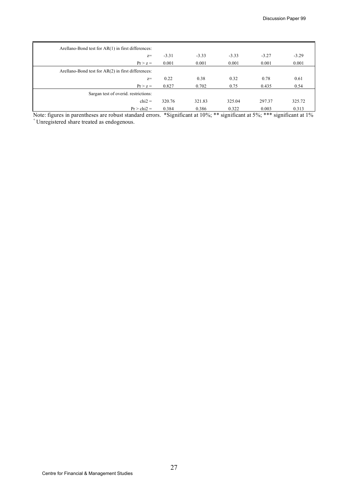| Arellano-Bond test for $AR(1)$ in first differences: |         |         |         |         |         |
|------------------------------------------------------|---------|---------|---------|---------|---------|
| $Z =$                                                | $-3.31$ | $-3.33$ | $-3.33$ | $-3.27$ | $-3.29$ |
| $Pr > z =$                                           | 0.001   | 0.001   | 0.001   | 0.001   | 0.001   |
| Arellano-Bond test for AR(2) in first differences:   |         |         |         |         |         |
| $Z =$                                                | 0.22    | 0.38    | 0.32    | 0.78    | 0.61    |
| $Pr > z =$                                           | 0.827   | 0.702   | 0.75    | 0.435   | 0.54    |
| Sargan test of overid. restrictions:                 |         |         |         |         |         |
| $chi2 =$                                             | 320.76  | 321.83  | 325.04  | 297.37  | 325.72  |
| $Pr > chi2 =$                                        | 0.384   | 0.386   | 0.322   | 0.003   | 0.313   |

Note: figures in parentheses are robust standard errors. \*Significant at 10%; \*\* significant at 5%; \*\*\* significant at 1% + Unregistered share treated as endogenous.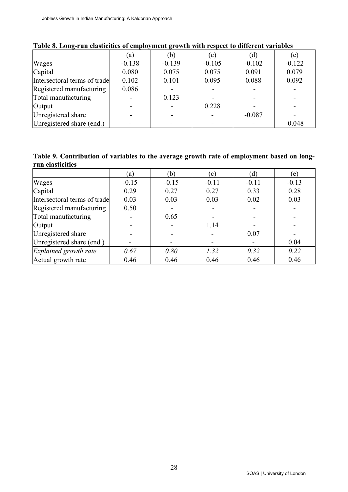|                              | (a)      | (b)      | (c)      | (d)      | (e)      |
|------------------------------|----------|----------|----------|----------|----------|
| Wages                        | $-0.138$ | $-0.139$ | $-0.105$ | $-0.102$ | $-0.122$ |
| Capital                      | 0.080    | 0.075    | 0.075    | 0.091    | 0.079    |
| Intersectoral terms of trade | 0.102    | 0.101    | 0.095    | 0.088    | 0.092    |
| Registered manufacturing     | 0.086    |          |          |          |          |
| Total manufacturing          |          | 0.123    |          |          |          |
| Output                       |          |          | 0.228    |          |          |
| Unregistered share           |          |          |          | $-0.087$ |          |
| Unregistered share (end.)    |          |          |          |          | $-0.048$ |

## **Table 8. Long-run elasticities of employment growth with respect to different variables**

#### **Table 9. Contribution of variables to the average growth rate of employment based on longrun elasticities**

|                              | (a)     | (b)     | (c)     | (d)     | (e)     |
|------------------------------|---------|---------|---------|---------|---------|
| Wages                        | $-0.15$ | $-0.15$ | $-0.11$ | $-0.11$ | $-0.13$ |
| Capital                      | 0.29    | 0.27    | 0.27    | 0.33    | 0.28    |
| Intersectoral terms of trade | 0.03    | 0.03    | 0.03    | 0.02    | 0.03    |
| Registered manufacturing     | 0.50    |         |         |         |         |
| Total manufacturing          |         | 0.65    |         |         |         |
| Output                       |         |         | 1.14    |         |         |
| Unregistered share           |         |         |         | 0.07    |         |
| Unregistered share (end.)    |         |         |         |         | 0.04    |
| Explained growth rate        | 0.67    | 0.80    | 1.32    | 0.32    | 0.22    |
| Actual growth rate           | 0.46    | 0.46    | 0.46    | 0.46    | 0.46    |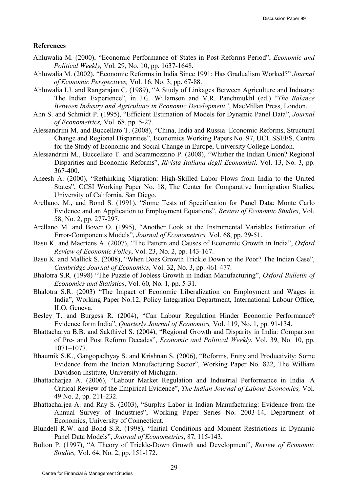#### **References**

- Ahluwalia M. (2000), "Economic Performance of States in Post-Reforms Period", *Economic and Political Weekly,* Vol. 29, No. 10, pp. 1637-1648.
- Ahluwalia M. (2002), "Economic Reforms in India Since 1991: Has Gradualism Worked?" *Journal of Economic Perspectives,* Vol. 16, No. 3, pp. 67-88.
- Ahluwalia I.J. and Rangarajan C. (1989), "A Study of Linkages Between Agriculture and Industry: The Indian Experience", in J.G. Willamson and V.R. Panchmukhl (ed.) "*The Balance Between Industry and Agriculture in Economic Development"*, MacMillan Press, London.
- Ahn S. and Schmidt P. (1995), "Efficient Estimation of Models for Dynamic Panel Data", *Journal of Econometrics,* Vol. 68, pp. 5-27.
- Alessandrini M. and Buccellato T. (2008), "China, India and Russia: Economic Reforms, Structural Change and Regional Disparities", Economics Working Papers No. 97, UCL SSEES, Centre for the Study of Economic and Social Change in Europe, University College London.
- Alessandrini M., Buccellato T. and Scaramozzino P. (2008), "Whither the Indian Union? Regional Disparities and Economic Reforms", *Rivista Italiana degli Economisti,* Vol. 13, No. 3, pp. 367-400.
- Aneesh A. (2000), "Rethinking Migration: High-Skilled Labor Flows from India to the United States", CCSI Working Paper No. 18, The Center for Comparative Immigration Studies, University of California, San Diego.
- Arellano, M., and Bond S. (1991), "Some Tests of Specification for Panel Data: Monte Carlo Evidence and an Application to Employment Equations", *Review of Economic Studies*, Vol. 58, No. 2, pp. 277-297.
- Arellano M. and Bover O. (1995), "Another Look at the Instrumental Variables Estimation of Error-Components Models", *Journal of Econometrics,* Vol. 68, pp. 29-51.
- Basu K. and Maertens A. (2007), "The Pattern and Causes of Economic Growth in India", *Oxford Review of Economic Policy*, Vol. 23, No. 2, pp. 143-167.
- Basu K. and Mallick S. (2008), "When Does Growth Trickle Down to the Poor? The Indian Case", *Cambridge Journal of Economics,* Vol. 32, No. 3, pp. 461-477.
- Bhalotra S.R. (1998) "The Puzzle of Jobless Growth in Indian Manufacturing", *Oxford Bulletin of Economics and Statistics*, Vol. 60, No. 1, pp. 5-31.
- Bhalotra S.R. (2003) "The Impact of Economic Liberalization on Employment and Wages in India", Working Paper No.12, Policy Integration Department, International Labour Office, ILO, Geneva.
- Besley T. and Burgess R. (2004), "Can Labour Regulation Hinder Economic Performance? Evidence form India", *Quarterly Journal of Economics,* Vol. 119, No. 1, pp. 91-134.
- Bhattacharya B.B. and Sakthivel S. (2004), "Regional Growth and Disparity in India: Comparison of Pre- and Post Reform Decades", *Economic and Political Weekly*, Vol. 39, No. 10, pp. 1071–1077.
- Bhaumik S.K., Gangopadhyay S. and Krishnan S. (2006), "Reforms, Entry and Productivity: Some Evidence from the Indian Manufacturing Sector", Working Paper No. 822, The William Davidson Institute, University of Michigan.
- Bhattacharjea A. (2006), "Labour Market Regulation and Industrial Performance in India. A Critical Review of the Empirical Evidence", *The Indian Journal of Labour Economics,* Vol. 49 No. 2, pp. 211-232.
- Bhattacharjea A. and Ray S. (2003), "Surplus Labor in Indian Manufacturing: Evidence from the Annual Survey of Industries", Working Paper Series No. 2003-14, Department of Economics, University of Connecticut.
- Blundell R.W. and Bond S.R. (1998), "Initial Conditions and Moment Restrictions in Dynamic Panel Data Models", *Journal of Econometrics*, 87, 115-143.
- Bolton P. (1997), "A Theory of Trickle-Down Growth and Development", *Review of Economic Studies,* Vol. 64, No. 2, pp. 151-172.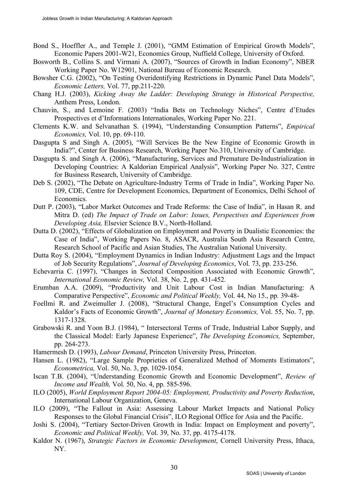- Bond S., Hoeffler A., and Temple J. (2001), "GMM Estimation of Empirical Growth Models", Economic Papers 2001-W21, Economics Group, Nuffield College, University of Oxford.
- Bosworth B., Collins S. and Virmani A. (2007), "Sources of Growth in Indian Economy", NBER Working Paper No. W12901, National Bureau of Economic Research.
- Bowsher C.G. (2002), "On Testing Overidentifying Restrictions in Dynamic Panel Data Models", *Economic Letters,* Vol. 77, pp.211-220.
- Chang H.J. (2003), *Kicking Away the Ladder: Developing Strategy in Historical Perspective,*  Anthem Press, London.
- Chauvin, S., and Lemoine F. (2003) "India Bets on Technology Niches", Centre d'Etudes Prospectives et d'Informations Internationales, Working Paper No. 221.
- Clements K.W. and Selvanathan S. (1994), "Understanding Consumption Patterns", *Empirical Economics,* Vol. 10, pp. 69-110.
- Dasgupta S and Singh A. (2005), "Will Services Be the New Engine of Economic Growth in India?", Center for Business Research, Working Paper No.310, University of Cambridge.
- Dasgupta S. and Singh A. (2006), "Manufacturing, Services and Premature De-Industrialization in Developing Countries: A Kaldorian Empirical Analysis", Working Paper No. 327, Centre for Business Research, University of Cambridge.
- Deb S. (2002), "The Debate on Agriculture-Industry Terms of Trade in India", Working Paper No. 109, CDE, Centre for Development Economics, Department of Economics, Delhi School of Economics.
- Dutt P. (2003), "Labor Market Outcomes and Trade Reforms: the Case of India", in Hasan R. and Mitra D. (ed) *The Impact of Trade on Labor: Issues, Perspectives and Experiences from Developing Asia,* Elsevier Science B.V., North-Holland.
- Dutta D. (2002), "Effects of Globalization on Employment and Poverty in Dualistic Economies: the Case of India", Working Papers No. 8, ASACR, Australia South Asia Research Centre, Research School of Pacific and Asian Studies, The Australian National University.
- Dutta Roy S. (2004), "Employment Dynamics in Indian Industry: Adjustment Lags and the Impact of Job Security Regulations", *Journal of Developing Economics*, Vol. 73, pp. 233-256.
- Echevarria C. (1997), "Changes in Sectoral Composition Associated with Economic Growth", *International Economic Review,* Vol. 38, No. 2, pp. 431-452.
- Erumban A.A. (2009), "Productivity and Unit Labour Cost in Indian Manufacturing: A Comparative Perspective", *Economic and Political Weekly,* Vol. 44, No 15., pp. 39-48-
- Foellmi R. and Zweimuller J. (2008), "Structural Change, Engel's Consumption Cycles and Kaldor's Facts of Economic Growth", *Journal of Monetary Economics,* Vol. 55, No. 7, pp. 1317-1328.
- Grabowski R. and Yoon B.J. (1984), " Intersectoral Terms of Trade, Industrial Labor Supply, and the Classical Model: Early Japanese Experience", *The Developing Economics,* September, pp. 264-273.
- Hamermesh D. (1993), *Labour Demand*, Princeton University Press, Princeton.
- Hansen L. (1982), "Large Sample Proprieties of Generalized Method of Moments Estimators", *Econometrica,* Vol. 50, No. 3, pp. 1029-1054.
- Iscan T.B. (2004), "Understanding Economic Growth and Economic Development", *Review of Income and Wealth,* Vol. 50, No. 4, pp. 585-596.
- ILO (2005), *World Employment Report 2004-05: Employment, Productivity and Poverty Reduction*, International Labour Organization, Geneva.
- ILO (2009), "The Fallout in Asia: Assessing Labour Market Impacts and National Policy Responses to the Global Financial Crisis", ILO Regional Office for Asia and the Pacific.
- Joshi S. (2004), "Tertiary Sector-Driven Growth in India: Impact on Employment and poverty", *Economic and Political Weekly,* Vol. 39, No. 37, pp. 4175-4178.
- Kaldor N. (1967), *Strategic Factors in Economic Development*, Cornell University Press, Ithaca, NY.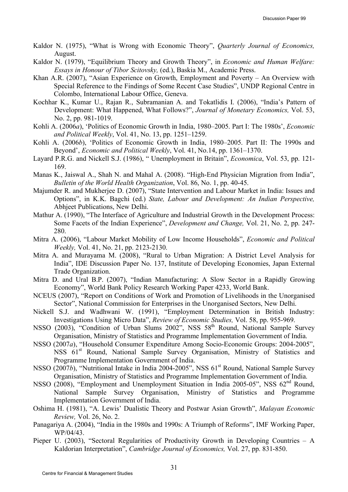- Kaldor N. (1975), "What is Wrong with Economic Theory", *Quarterly Journal of Economics,*  August.
- Kaldor N. (1979), "Equilibrium Theory and Growth Theory", in *Economic and Human Welfare: Essays in Honour of Tibor Scitovsky,* (ed.), Baskia M., Academic Press.
- Khan A.R. (2007), "Asian Experience on Growth, Employment and Poverty An Overview with Special Reference to the Findings of Some Recent Case Studies", UNDP Regional Centre in Colombo, International Labour Office, Geneva.
- Kochhar K., Kumar U., Rajan R., Subramanian A. and Tokatlidis I. (2006), "India's Pattern of Development: What Happened, What Follows?", *Journal of Monetary Economics,* Vol. 53, No. 2, pp. 981-1019.
- Kohli A. (2006*a*), 'Politics of Economic Growth in India, 1980–2005. Part I: The 1980s', *Economic and Political Weekly*, Vol. 41, No. 13, pp. 1251–1259.
- Kohli A. (2006*b*), 'Politics of Economic Growth in India, 1980–2005. Part II: The 1990s and Beyond', *Economic and Political Weekly*, Vol. 41, No.14, pp. 1361–1370.
- Layard P.R.G. and Nickell S.J. (1986), " Unemployment in Britain", *Economica*, Vol. 53, pp. 121- 169.
- Manas K., Jaiswal A., Shah N. and Mahal A. (2008). "High-End Physician Migration from India", *Bulletin of the World Health Organization*, Vol. 86, No. 1, pp. 40-45.
- Majumder R. and Mukherjee D. (2007), "State Intervention and Labour Market in India: Issues and Options", in K.K. Bagchi (ed.) *State, Labour and Development: An Indian Perspective,*  Abhjeet Publications, New Delhi.
- Mathur A. (1990), "The Interface of Agriculture and Industrial Growth in the Development Process: Some Facets of the Indian Experience", *Development and Change,* Vol. 21, No. 2, pp. 247- 280.
- Mitra A. (2006), "Labour Market Mobility of Low Income Households", *Economic and Political Weekly,* Vol. 41, No. 21, pp. 2123-2130.
- Mitra A. and Murayama M. (2008), "Rural to Urban Migration: A District Level Analysis for India", IDE Discussion Paper No. 137, Institute of Developing Economies, Japan External Trade Organization.
- Mitra D. and Ural B.P. (2007), "Indian Manufacturing: A Slow Sector in a Rapidly Growing Economy", World Bank Policy Research Working Paper 4233, World Bank.
- NCEUS (2007), "Report on Conditions of Work and Promotion of Livelihoods in the Unorganised Sector", National Commission for Enterprises in the Unorganised Sectors, New Delhi.
- Nickell S.J. and Wadhwani W. (1991), "Employment Determination in British Industry: Investigations Using Micro Data", *Review of Economic Studies,* Vol. 58, pp. 955-969.
- NSSO (2003), "Condition of Urban Slums 2002", NSS 58<sup>th</sup> Round, National Sample Survey Organisation, Ministry of Statistics and Programme Implementation Government of India.
- NSSO (2007*a*), "Household Consumer Expenditure Among Socio-Economic Groups: 2004-2005", NSS 61<sup>st</sup> Round, National Sample Survey Organisation, Ministry of Statistics and Programme Implementation Government of India.
- NSSO (2007*b*), "Nutritional Intake in India 2004-2005", NSS 61<sup>st</sup> Round, National Sample Survey Organisation, Ministry of Statistics and Programme Implementation Government of India.
- NSSO (2008), "Employment and Unemployment Situation in India 2005-05", NSS 62<sup>nd</sup> Round, National Sample Survey Organisation, Ministry of Statistics and Programme Implementation Government of India.
- Oshima H. (1981), "A. Lewis' Dualistic Theory and Postwar Asian Growth", *Malayan Economic Review,* Vol. 26, No. 2.
- Panagariya A. (2004), "India in the 1980s and 1990s: A Triumph of Reforms", IMF Working Paper, WP/04/43.
- Pieper U. (2003), "Sectoral Regularities of Productivity Growth in Developing Countries A Kaldorian Interpretation", *Cambridge Journal of Economics,* Vol. 27, pp. 831-850.